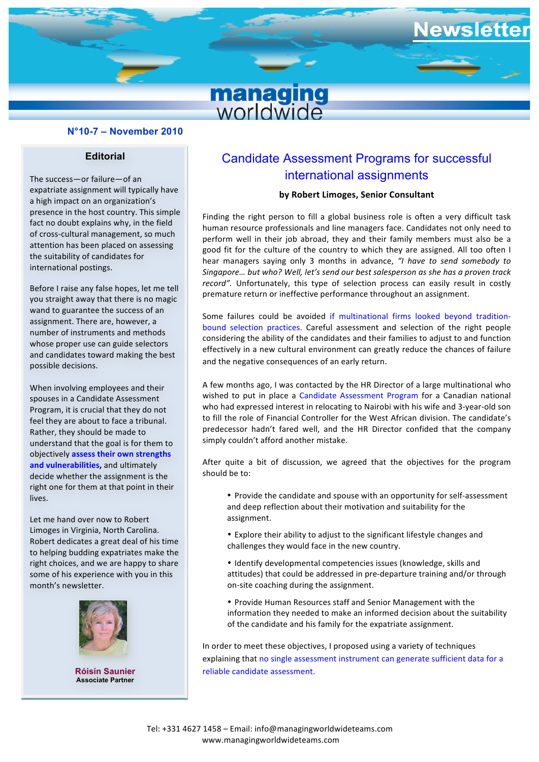# ewslette **managing**<br>worldwide

## **N°10-7 – November 2010**

#### **Editorial**

The success-or failure-of an expatriate assignment will typically have a high impact on an organization's presence in the host country. This simple fact no doubt explains why, in the field of cross-cultural management, so much attention has been placed on assessing the suitability of candidates for international postings.

Before I raise any false hopes, let me tell you straight away that there is no magic wand to guarantee the success of an assignment. There are, however, a number of instruments and methods whose proper use can guide selectors and candidates toward making the best possible decisions.

When involving employees and their spouses in a Candidate Assessment Program, it is crucial that they do not feel they are about to face a tribunal. Rather, they should be made to understand that the goal is for them to objectively assess their own strengths and vulnerabilities, and ultimately decide whether the assignment is the right one for them at that point in their lives.

Let me hand over now to Robert Limoges in Virginia, North Carolina. Robert dedicates a great deal of his time to helping budding expatriates make the right choices, and we are happy to share some of his experience with you in this month's newsletter.



**Róisín Saunier Associate Partner**

# Candidate Assessment Programs for successful international assignments

# **by Robert Limoges, Senior Consultant**

ple **inding** the right person to fill a global business role is often a very difficult task filt away that there is no magic **all premature return** or ineffective performance throughout an assignment.<br> **Figure 2016** and the suscess of an human resource professionals and line managers face. Candidates not only need to perform well in their job abroad, they and their family members must also be a good fit for the culture of the country to which they are assigned. All too often I hear managers saying only 3 months in advance, "I have to send somebody to Singapore... but who? Well, let's send our best salesperson as she has a proven track record". Unfortunately, this type of selection process can easily result in costly

bound selection practices. Careful assessment and selection of the right people effectively in a new cultural environment can greatly reduce the chances of failure and the negative consequences of an early return. Some failures could be avoided if multinational firms looked beyond traditionconsidering the ability of the candidates and their families to adjust to and function

A few months ago, I was contacted by the HR Director of a large multinational who wished to put in place a candidate Assessment Frogram for a candidati national<br>who had expressed interest in relocating to Nairobi with his wife and 3-year-old son to fill the role of Financial Controller for the West African division. The candidate's predecessor hadn't fared well, and the HR Director confided that the company simply couldn't afford another mistake. wished to put in place a Candidate Assessment Program for a Canadian national

After quite a bit of discussion, we agreed that the objectives for the program should be to:

- consultante de la consultante de la consultante de la consultante de la consultante de la consultante de la co<br>Consultante de la consultante de la consultante de la consultante de la consultante de la consultante de la co and deep reflection about their motivation and suitability for the • Provide the candidate and spouse with an opportunity for self-assessment assignment.
- Explore their ability to adjust to the significant lifestyle changes and challenges they would face in the new country.
- Identify developmental competencies issues (knowledge, skills and attitudes) that could be addressed in pre-departure training and/or through on-site coaching during the assignment.
- Provide Human Resources staff and Senior Management with the information they needed to make an informed decision about the suitability of the candidate and his family for the expatriate assignment.

In order to meet these objectives, I proposed using a variety of techniques explaining that no single assessment instrument can generate sufficient data for a reliable candidate assessment.